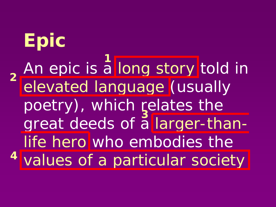**Epic** An epic is a long story told in elevated language (usually poetry), which relates the great deeds of a larger-thanlife hero who embodies the values of a particular society **41 2 3**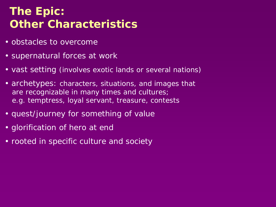## **The Epic: Other Characteristics**

- obstacles to overcome
- supernatural forces at work
- vast setting (involves exotic lands or several nations)
- archetypes: characters, situations, and images that are recognizable in many times and cultures; e.g. temptress, loyal servant, treasure, contests
- quest/journey for something of value
- glorification of hero at end
- rooted in specific culture and society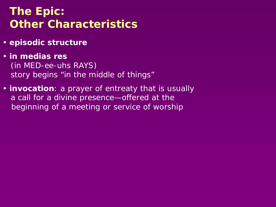## **The Epic: Other Characteristics**

- **episodic structure**
- **in medias res** (in MED-ee-uhs RAYS) story begins "in the middle of things"
- **invocation**: a prayer of entreaty that is usually a call for a divine presence—offered at the beginning of a meeting or service of worship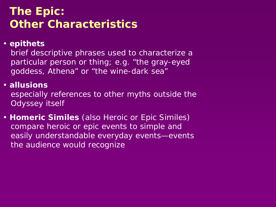## **The Epic: Other Characteristics**

### • **epithets**

brief descriptive phrases used to characterize a particular person or thing; e.g. "the gray-eyed goddess, Athena" or "the wine-dark sea"

#### • **allusions**

especially references to other myths outside the *Odyssey* itself

• **Homeric Similes** (also Heroic or Epic Similes) compare heroic or epic events to simple and easily understandable everyday events—events the audience would recognize